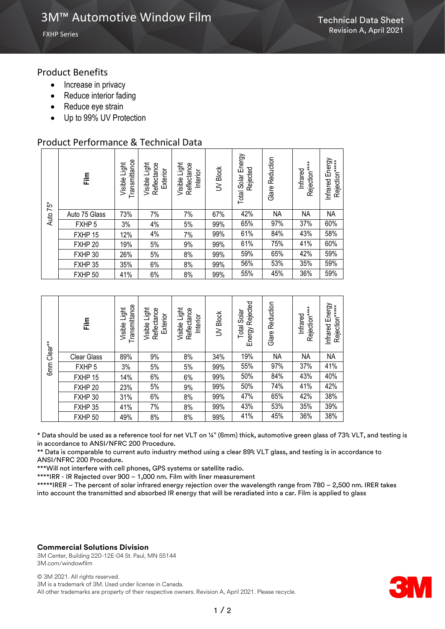# Product Benefits

- Increase in privacy
- Reduce interior fading
- Reduce eye strain
- Up to 99% UV Protection

# Product Performance & Technical Data

| 75*<br>Auto | 흝                 | Transmittance<br>Light<br>Visible | Light<br>Reflectance<br>Exterior<br>Visible | Visible Light<br>Reflectance<br>Interior | <b>JV Block</b> | Solar Energy<br>Rejected<br>Total | Reduction<br>Glare | Rejection****<br>Infrared | Infrared Energy<br>Rejection*****<br>Infrared |
|-------------|-------------------|-----------------------------------|---------------------------------------------|------------------------------------------|-----------------|-----------------------------------|--------------------|---------------------------|-----------------------------------------------|
|             | Auto 75 Glass     | 73%                               | 7%                                          | 7%                                       | 67%             | 42%                               | <b>NA</b>          | <b>NA</b>                 | <b>NA</b>                                     |
|             | FXHP <sub>5</sub> | 3%                                | 4%                                          | 5%                                       | 99%             | 65%                               | 97%                | 37%                       | 60%                                           |
|             | FXHP 15           | 12%                               | 4%                                          | 7%                                       | 99%             | 61%                               | 84%                | 43%                       | 58%                                           |
|             | FXHP 20           | 19%                               | 5%                                          | 9%                                       | 99%             | 61%                               | 75%                | 41%                       | 60%                                           |
|             | FXHP 30           | 26%                               | 5%                                          | 8%                                       | 99%             | 59%                               | 65%                | 42%                       | 59%                                           |
|             | FXHP 35           | 35%                               | 6%                                          | 8%                                       | 99%             | 56%                               | 53%                | 35%                       | 59%                                           |
|             | FXHP 50           | 41%                               | 6%                                          | 8%                                       | 99%             | 55%                               | 45%                | 36%                       | 59%                                           |

| Clear**<br>6 <sub>mm</sub> | 틅                  | Transmittance<br>Light<br>Visible | Light<br>Reflectance<br>Exterior<br>Visible | Visible Light<br>Reflectance<br>Interior | <b>Block</b><br>$\geq$ | Rejected<br>Solar<br>Total<br>Energy | Reduction<br>Glare | Rejection*****<br>Infrared | Energy<br>Rejection*****<br>Infrared |
|----------------------------|--------------------|-----------------------------------|---------------------------------------------|------------------------------------------|------------------------|--------------------------------------|--------------------|----------------------------|--------------------------------------|
|                            | <b>Clear Glass</b> | 89%                               | 9%                                          | 8%                                       | 34%                    | 19%                                  | <b>NA</b>          | NA                         | NA                                   |
|                            | FXHP <sub>5</sub>  | 3%                                | 5%                                          | 5%                                       | 99%                    | 55%                                  | 97%                | 37%                        | 41%                                  |
|                            | FXHP 15            | 14%                               | 6%                                          | 6%                                       | 99%                    | 50%                                  | 84%                | 43%                        | 40%                                  |
|                            | FXHP 20            | 23%                               | 5%                                          | 9%                                       | 99%                    | 50%                                  | 74%                | 41%                        | 42%                                  |
|                            | FXHP 30            | 31%                               | 6%                                          | 8%                                       | 99%                    | 47%                                  | 65%                | 42%                        | 38%                                  |
|                            | FXHP 35            | 41%                               | 7%                                          | 8%                                       | 99%                    | 43%                                  | 53%                | 35%                        | 39%                                  |
|                            | FXHP 50            | 49%                               | 8%                                          | 8%                                       | 99%                    | 41%                                  | 45%                | 36%                        | 38%                                  |

\* Data should be used as a reference tool for net VLT on ¼" (6mm) thick, automotive green glass of 73% VLT, and testing is in accordance to ANSI/NFRC 200 Procedure.

\*\* Data is comparable to current auto industry method using a clear 89% VLT glass, and testing is in accordance to ANSI/NFRC 200 Procedure.

\*\*\*Will not interfere with cell phones, GPS systems or satellite radio.

\*\*\*\*IRR - IR Rejected over 900 – 1,000 nm. Film with liner measurement

\*\*\*\*\*IRER – The percent of solar infrared energy rejection over the wavelength range from 780 – 2,500 nm. IRER takes into account the transmitted and absorbed IR energy that will be reradiated into a car. Film is applied to glass

#### **Commercial Solutions Division**

3M Center, Building 220-12E-04 St. Paul, MN 55144 3M.com/windowfilm

© 3M 2021. All rights reserved. 3M is a trademark of 3M. Used under license in Canada. All other trademarks are property of their respective owners. Revision A, April 2021. Please recycle.